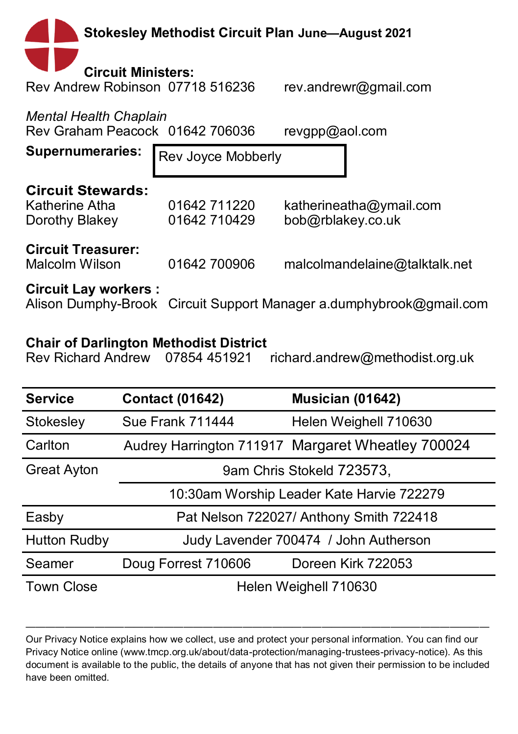| <b>Stokesley Methodist Circuit Plan June-August 2021</b>                               |                              |                                                                     |  |  |  |  |  |  |
|----------------------------------------------------------------------------------------|------------------------------|---------------------------------------------------------------------|--|--|--|--|--|--|
| <b>Circuit Ministers:</b><br>Rev Andrew Robinson 07718 516236<br>rev.andrewr@gmail.com |                              |                                                                     |  |  |  |  |  |  |
| Mental Health Chaplain<br>Rev Graham Peacock 01642 706036<br>revgpp@aol.com            |                              |                                                                     |  |  |  |  |  |  |
| <b>Supernumeraries:</b><br>Rev Joyce Mobberly                                          |                              |                                                                     |  |  |  |  |  |  |
| <b>Circuit Stewards:</b><br>Katherine Atha<br>Dorothy Blakey                           | 01642 711220<br>01642 710429 | katherineatha@ymail.com<br>bob@rblakey.co.uk                        |  |  |  |  |  |  |
| <b>Circuit Treasurer:</b><br>Malcolm Wilson                                            | 01642 700906                 | malcolmandelaine@talktalk.net                                       |  |  |  |  |  |  |
| <b>Circuit Lay workers:</b>                                                            |                              | Alison Dumphy-Brook Circuit Support Manager a.dumphybrook@gmail.com |  |  |  |  |  |  |

## **Chair of Darlington Methodist District**

richard.andrew@methodist.org.uk

| <b>Service</b>      | <b>Contact (01642)</b>                | Musician (01642)                                  |  |  |  |
|---------------------|---------------------------------------|---------------------------------------------------|--|--|--|
| Stokesley           | <b>Sue Frank 711444</b>               | Helen Weighell 710630                             |  |  |  |
| Carlton             |                                       | Audrey Harrington 711917 Margaret Wheatley 700024 |  |  |  |
| <b>Great Ayton</b>  | 9am Chris Stokeld 723573,             |                                                   |  |  |  |
|                     |                                       | 10:30am Worship Leader Kate Harvie 722279         |  |  |  |
| Easby               |                                       | Pat Nelson 722027/ Anthony Smith 722418           |  |  |  |
| <b>Hutton Rudby</b> | Judy Lavender 700474 / John Autherson |                                                   |  |  |  |
| Seamer              | Doug Forrest 710606                   | Doreen Kirk 722053                                |  |  |  |
| <b>Town Close</b>   |                                       | Helen Weighell 710630                             |  |  |  |

Our Privacy Notice explains how we collect, use and protect your personal information. You can find our Privacy Notice online (www.tmcp.org.uk/about/data-protection/managing-trustees-privacy-notice). As this document is available to the public, the details of anyone that has not given their permission to be included have been omitted.

———————————————————————————————————————————————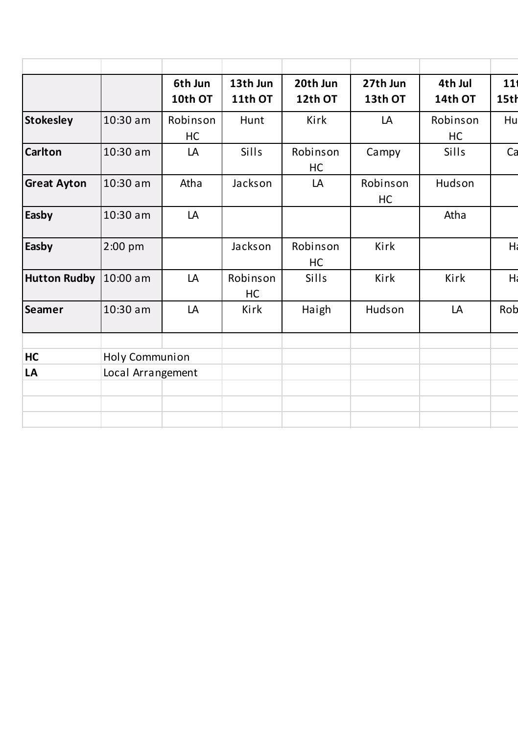|                       |                   | 6th Jun<br>10th OT | 13th Jun<br>11th OT | 20th Jun<br>12th OT | 27th Jun<br>13th OT | 4th Jul<br>14th OT | 11<br>15th     |
|-----------------------|-------------------|--------------------|---------------------|---------------------|---------------------|--------------------|----------------|
| <b>Stokesley</b>      | 10:30 am          | Robinson<br>HC     | Hunt                | Kirk                | LA                  | Robinson<br>HC     | Hu             |
| <b>Carlton</b>        | 10:30 am          | LA                 | Sills               | Robinson<br>HC      | Campy               | Sills              | Ca             |
| <b>Great Ayton</b>    | 10:30 am          | Atha               | Jackson             | LA                  | Robinson<br>HC      | Hudson             |                |
| Easby                 | 10:30 am          | LA                 |                     |                     |                     | Atha               |                |
| Easby                 | 2:00 pm           |                    | Jackson             | Robinson<br>HC      | Kirk                |                    | H <sub>i</sub> |
| Hutton Rudby 10:00 am |                   | LA                 | Robinson<br>HC      | Sills               | Kirk                | Kirk               | H              |
| Seamer                | 10:30 am          | LA                 | Kirk                | Haigh               | Hudson              | LA                 | Rob            |
| HC                    | Holy Communion    |                    |                     |                     |                     |                    |                |
| LA                    | Local Arrangement |                    |                     |                     |                     |                    |                |
|                       |                   |                    |                     |                     |                     |                    |                |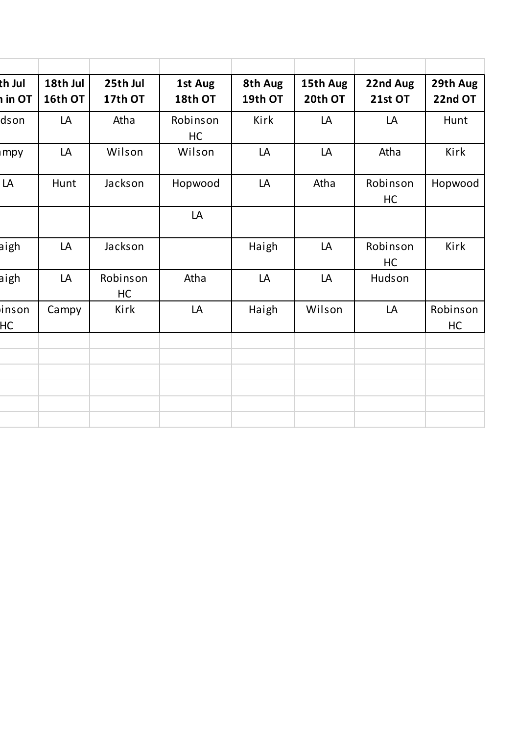| th Jul<br>in OT | 18th Jul<br>16th OT | 25th Jul<br>17th OT | 1st Aug<br>18th OT | 8th Aug<br>19th OT | 15th Aug<br>20th OT | 22nd Aug<br>21st OT | 29th Aug<br>22nd OT |
|-----------------|---------------------|---------------------|--------------------|--------------------|---------------------|---------------------|---------------------|
| dson            | LA                  | Atha                | Robinson<br>HC     | Kirk               | LA                  | LA                  | Hunt                |
| mpy             | LA                  | Wilson              | Wilson             | LA                 | LA                  | Atha                | Kirk                |
| LA              | Hunt                | Jackson             | Hopwood            | LA                 | Atha                | Robinson<br>HC      | Hopwood             |
|                 |                     |                     | LA                 |                    |                     |                     |                     |
| aigh            | LA                  | Jackson             |                    | Haigh              | LA                  | Robinson<br>HC      | Kirk                |
| aigh            | LA                  | Robinson<br>HC      | Atha               | LA                 | LA                  | Hudson              |                     |
| inson<br>HC     | Campy               | Kirk                | LA                 | Haigh              | Wilson              | LA                  | Robinson<br>HC      |
|                 |                     |                     |                    |                    |                     |                     |                     |
|                 |                     |                     |                    |                    |                     |                     |                     |
|                 |                     |                     |                    |                    |                     |                     |                     |
|                 |                     |                     |                    |                    |                     |                     |                     |
|                 |                     |                     |                    |                    |                     |                     |                     |